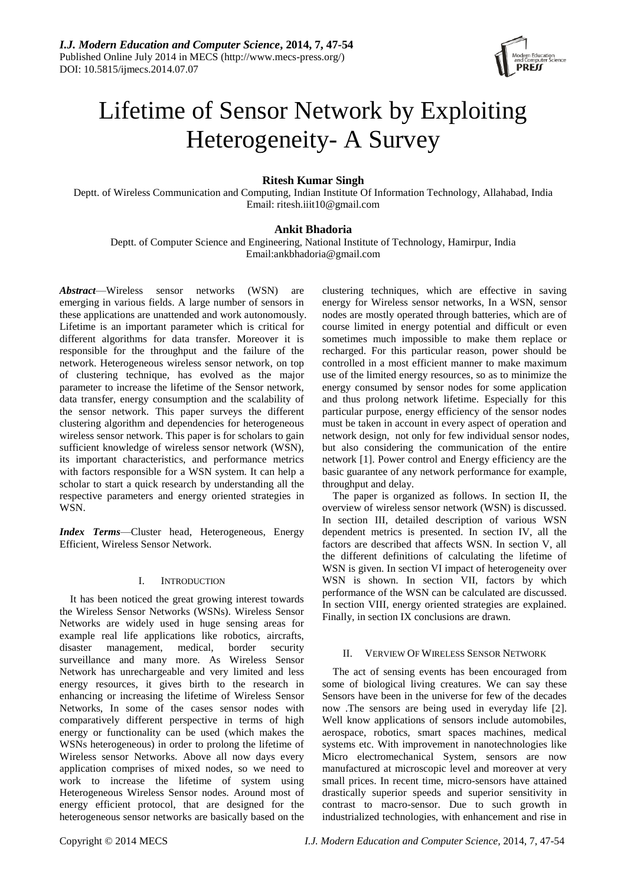

# Lifetime of Sensor Network by Exploiting Heterogeneity- A Survey

# **Ritesh Kumar Singh**

Deptt. of Wireless Communication and Computing, Indian Institute Of Information Technology, Allahabad, India Email: ritesh.iiit10@gmail.com

# **Ankit Bhadoria**

Deptt. of Computer Science and Engineering, National Institute of Technology, Hamirpur, India Email:ankbhadoria@gmail.com

*Abstract*—Wireless sensor networks (WSN) are emerging in various fields. A large number of sensors in these applications are unattended and work autonomously. Lifetime is an important parameter which is critical for different algorithms for data transfer. Moreover it is responsible for the throughput and the failure of the network. Heterogeneous wireless sensor network, on top of clustering technique, has evolved as the major parameter to increase the lifetime of the Sensor network, data transfer, energy consumption and the scalability of the sensor network. This paper surveys the different clustering algorithm and dependencies for heterogeneous wireless sensor network. This paper is for scholars to gain sufficient knowledge of wireless sensor network (WSN), its important characteristics, and performance metrics with factors responsible for a WSN system. It can help a scholar to start a quick research by understanding all the respective parameters and energy oriented strategies in WSN.

*Index Terms*—Cluster head, Heterogeneous, Energy Efficient, Wireless Sensor Network.

## I. INTRODUCTION

It has been noticed the great growing interest towards the Wireless Sensor Networks (WSNs). Wireless Sensor Networks are widely used in huge sensing areas for example real life applications like robotics, aircrafts, disaster management, medical, border security surveillance and many more. As Wireless Sensor Network has unrechargeable and very limited and less energy resources, it gives birth to the research in enhancing or increasing the lifetime of Wireless Sensor Networks, In some of the cases sensor nodes with comparatively different perspective in terms of high energy or functionality can be used (which makes the WSNs heterogeneous) in order to prolong the lifetime of Wireless sensor Networks. Above all now days every application comprises of mixed nodes, so we need to work to increase the lifetime of system using Heterogeneous Wireless Sensor nodes. Around most of energy efficient protocol, that are designed for the heterogeneous sensor networks are basically based on the clustering techniques, which are effective in saving energy for Wireless sensor networks, In a WSN, sensor nodes are mostly operated through batteries, which are of course limited in energy potential and difficult or even sometimes much impossible to make them replace or recharged. For this particular reason, power should be controlled in a most efficient manner to make maximum use of the limited energy resources, so as to minimize the energy consumed by sensor nodes for some application and thus prolong network lifetime. Especially for this particular purpose, energy efficiency of the sensor nodes must be taken in account in every aspect of operation and network design, not only for few individual sensor nodes, but also considering the communication of the entire network [1]. Power control and Energy efficiency are the basic guarantee of any network performance for example, throughput and delay.

The paper is organized as follows. In section II, the overview of wireless sensor network (WSN) is discussed. In section III, detailed description of various WSN dependent metrics is presented. In section IV, all the factors are described that affects WSN. In section V, all the different definitions of calculating the lifetime of WSN is given. In section VI impact of heterogeneity over WSN is shown. In section VII, factors by which performance of the WSN can be calculated are discussed. In section VIII, energy oriented strategies are explained. Finally, in section IX conclusions are drawn.

## II. VERVIEW OF WIRELESS SENSOR NETWORK

The act of sensing events has been encouraged from some of biological living creatures. We can say these Sensors have been in the universe for few of the decades now .The sensors are being used in everyday life [2]. Well know applications of sensors include automobiles, aerospace, robotics, smart spaces machines, medical systems etc. With improvement in nanotechnologies like Micro electromechanical System, sensors are now manufactured at microscopic level and moreover at very small prices. In recent time, micro-sensors have attained drastically superior speeds and superior sensitivity in contrast to macro-sensor. Due to such growth in industrialized technologies, with enhancement and rise in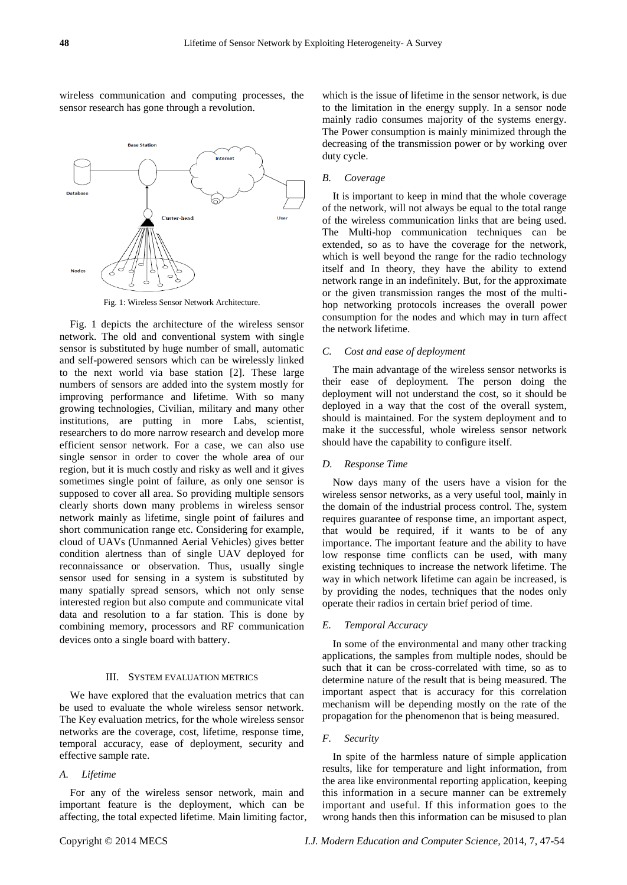numbers of sensors are added into the system mostly for improving performance and lifetime. With so many growing technologies, Civilian, military and many other institutions, are putting in more Labs, scientist, researchers to do more narrow research and develop more efficient sensor network. For a case, we can also use single sensor in order to cover the whole area of our region, but it is much costly and risky as well and it gives sometimes single point of failure, as only one sensor is supposed to cover all area. So providing multiple sensors clearly shorts down many problems in wireless sensor network mainly as lifetime, single point of failures and short communication range etc. Considering for example, cloud of UAVs (Unmanned Aerial Vehicles) gives better condition alertness than of single UAV deployed for reconnaissance or observation. Thus, usually single sensor used for sensing in a system is substituted by many spatially spread sensors, which not only sense interested region but also compute and communicate vital data and resolution to a far station. This is done by combining memory, processors and RF communication devices onto a single board with battery.

#### III. SYSTEM EVALUATION METRICS

We have explored that the evaluation metrics that can be used to evaluate the whole wireless sensor network. The Key evaluation metrics, for the whole wireless sensor networks are the coverage, cost, lifetime, response time, temporal accuracy, ease of deployment, security and effective sample rate.

#### *A. Lifetime*

For any of the wireless sensor network, main and important feature is the deployment, which can be affecting, the total expected lifetime. Main limiting factor, which is the issue of lifetime in the sensor network, is due to the limitation in the energy supply. In a sensor node mainly radio consumes majority of the systems energy. The Power consumption is mainly minimized through the decreasing of the transmission power or by working over duty cycle.

#### *B. Coverage*

It is important to keep in mind that the whole coverage of the network, will not always be equal to the total range of the wireless communication links that are being used. The Multi-hop communication techniques can be extended, so as to have the coverage for the network, which is well beyond the range for the radio technology itself and In theory, they have the ability to extend network range in an indefinitely. But, for the approximate or the given transmission ranges the most of the multihop networking protocols increases the overall power consumption for the nodes and which may in turn affect the network lifetime.

# *C. Cost and ease of deployment*

The main advantage of the wireless sensor networks is their ease of deployment. The person doing the deployment will not understand the cost, so it should be deployed in a way that the cost of the overall system, should is maintained. For the system deployment and to make it the successful, whole wireless sensor network should have the capability to configure itself.

#### *D. Response Time*

Now days many of the users have a vision for the wireless sensor networks, as a very useful tool, mainly in the domain of the industrial process control. The, system requires guarantee of response time, an important aspect, that would be required, if it wants to be of any importance. The important feature and the ability to have low response time conflicts can be used, with many existing techniques to increase the network lifetime. The way in which network lifetime can again be increased, is by providing the nodes, techniques that the nodes only operate their radios in certain brief period of time.

## *E. Temporal Accuracy*

In some of the environmental and many other tracking applications, the samples from multiple nodes, should be such that it can be cross-correlated with time, so as to determine nature of the result that is being measured. The important aspect that is accuracy for this correlation mechanism will be depending mostly on the rate of the propagation for the phenomenon that is being measured.

#### *F. Security*

In spite of the harmless nature of simple application results, like for temperature and light information, from the area like environmental reporting application, keeping this information in a secure manner can be extremely important and useful. If this information goes to the wrong hands then this information can be misused to plan



Fig. 1 depicts the architecture of the wireless sensor network. The old and conventional system with single sensor is substituted by huge number of small, automatic and self-powered sensors which can be wirelessly linked to the next world via base station [2]. These large

wireless communication and computing processes, the

sensor research has gone through a revolution.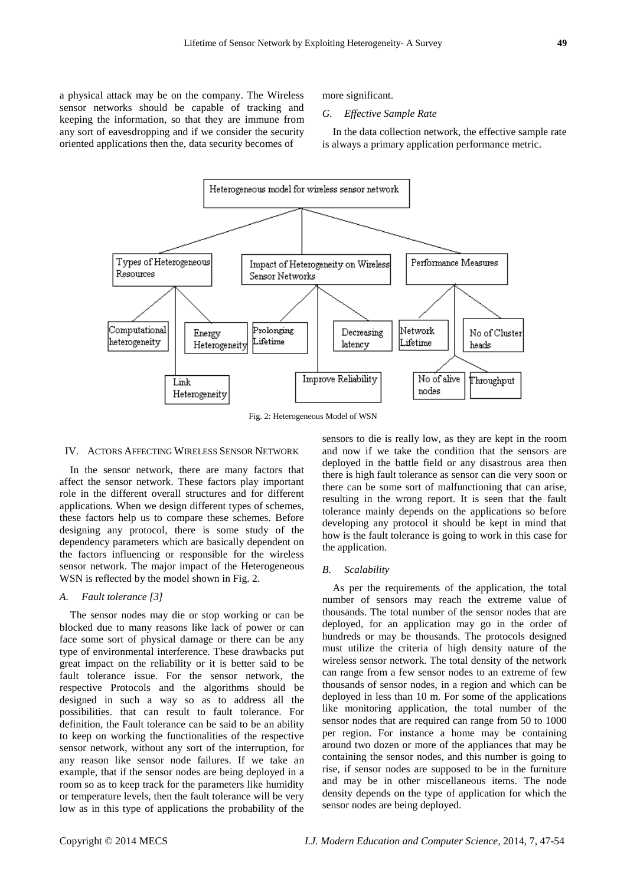a physical attack may be on the company. The Wireless sensor networks should be capable of tracking and keeping the information, so that they are immune from any sort of eavesdropping and if we consider the security oriented applications then the, data security becomes of

more significant.

#### *G. Effective Sample Rate*

In the data collection network, the effective sample rate is always a primary application performance metric.



Fig. 2: Heterogeneous Model of WSN

#### IV. ACTORS AFFECTING WIRELESS SENSOR NETWORK

In the sensor network, there are many factors that affect the sensor network. These factors play important role in the different overall structures and for different applications. When we design different types of schemes, these factors help us to compare these schemes. Before designing any protocol, there is some study of the dependency parameters which are basically dependent on the factors influencing or responsible for the wireless sensor network. The major impact of the Heterogeneous WSN is reflected by the model shown in Fig. 2.

#### *A. Fault tolerance [3]*

The sensor nodes may die or stop working or can be blocked due to many reasons like lack of power or can face some sort of physical damage or there can be any type of environmental interference. These drawbacks put great impact on the reliability or it is better said to be fault tolerance issue. For the sensor network, the respective Protocols and the algorithms should be designed in such a way so as to address all the possibilities. that can result to fault tolerance. For definition, the Fault tolerance can be said to be an ability to keep on working the functionalities of the respective sensor network, without any sort of the interruption, for any reason like sensor node failures. If we take an example, that if the sensor nodes are being deployed in a room so as to keep track for the parameters like humidity or temperature levels, then the fault tolerance will be very low as in this type of applications the probability of the

sensors to die is really low, as they are kept in the room and now if we take the condition that the sensors are deployed in the battle field or any disastrous area then there is high fault tolerance as sensor can die very soon or there can be some sort of malfunctioning that can arise, resulting in the wrong report. It is seen that the fault tolerance mainly depends on the applications so before developing any protocol it should be kept in mind that how is the fault tolerance is going to work in this case for the application.

#### *B. Scalability*

As per the requirements of the application, the total number of sensors may reach the extreme value of thousands. The total number of the sensor nodes that are deployed, for an application may go in the order of hundreds or may be thousands. The protocols designed must utilize the criteria of high density nature of the wireless sensor network. The total density of the network can range from a few sensor nodes to an extreme of few thousands of sensor nodes, in a region and which can be deployed in less than 10 m. For some of the applications like monitoring application, the total number of the sensor nodes that are required can range from 50 to 1000 per region. For instance a home may be containing around two dozen or more of the appliances that may be containing the sensor nodes, and this number is going to rise, if sensor nodes are supposed to be in the furniture and may be in other miscellaneous items. The node density depends on the type of application for which the sensor nodes are being deployed.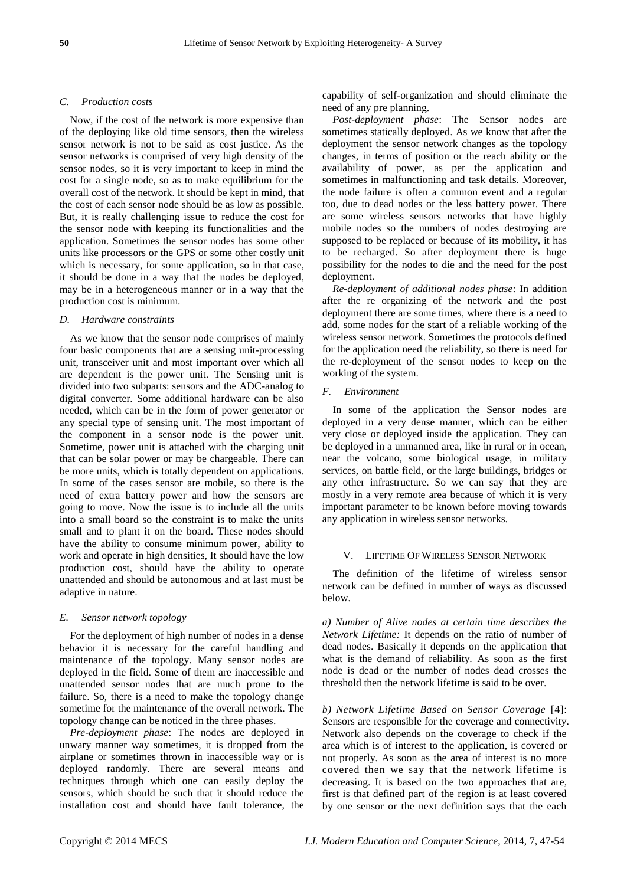#### *C. Production costs*

Now, if the cost of the network is more expensive than of the deploying like old time sensors, then the wireless sensor network is not to be said as cost justice. As the sensor networks is comprised of very high density of the sensor nodes, so it is very important to keep in mind the cost for a single node, so as to make equilibrium for the overall cost of the network. It should be kept in mind, that the cost of each sensor node should be as low as possible. But, it is really challenging issue to reduce the cost for the sensor node with keeping its functionalities and the application. Sometimes the sensor nodes has some other units like processors or the GPS or some other costly unit which is necessary, for some application, so in that case, it should be done in a way that the nodes be deployed, may be in a heterogeneous manner or in a way that the production cost is minimum.

#### *D. Hardware constraints*

As we know that the sensor node comprises of mainly four basic components that are a sensing unit-processing unit, transceiver unit and most important over which all are dependent is the power unit. The Sensing unit is divided into two subparts: sensors and the ADC-analog to digital converter. Some additional hardware can be also needed, which can be in the form of power generator or any special type of sensing unit. The most important of the component in a sensor node is the power unit. Sometime, power unit is attached with the charging unit that can be solar power or may be chargeable. There can be more units, which is totally dependent on applications. In some of the cases sensor are mobile, so there is the need of extra battery power and how the sensors are going to move. Now the issue is to include all the units into a small board so the constraint is to make the units small and to plant it on the board. These nodes should have the ability to consume minimum power, ability to work and operate in high densities, It should have the low production cost, should have the ability to operate unattended and should be autonomous and at last must be adaptive in nature.

#### *E. Sensor network topology*

For the deployment of high number of nodes in a dense behavior it is necessary for the careful handling and maintenance of the topology. Many sensor nodes are deployed in the field. Some of them are inaccessible and unattended sensor nodes that are much prone to the failure. So, there is a need to make the topology change sometime for the maintenance of the overall network. The topology change can be noticed in the three phases.

*Pre-deployment phase*: The nodes are deployed in unwary manner way sometimes, it is dropped from the airplane or sometimes thrown in inaccessible way or is deployed randomly. There are several means and techniques through which one can easily deploy the sensors, which should be such that it should reduce the installation cost and should have fault tolerance, the

capability of self-organization and should eliminate the need of any pre planning.

*Post-deployment phase*: The Sensor nodes are sometimes statically deployed. As we know that after the deployment the sensor network changes as the topology changes, in terms of position or the reach ability or the availability of power, as per the application and sometimes in malfunctioning and task details. Moreover, the node failure is often a common event and a regular too, due to dead nodes or the less battery power. There are some wireless sensors networks that have highly mobile nodes so the numbers of nodes destroying are supposed to be replaced or because of its mobility, it has to be recharged. So after deployment there is huge possibility for the nodes to die and the need for the post deployment.

*Re-deployment of additional nodes phase*: In addition after the re organizing of the network and the post deployment there are some times, where there is a need to add, some nodes for the start of a reliable working of the wireless sensor network. Sometimes the protocols defined for the application need the reliability, so there is need for the re-deployment of the sensor nodes to keep on the working of the system.

#### *F. Environment*

In some of the application the Sensor nodes are deployed in a very dense manner, which can be either very close or deployed inside the application. They can be deployed in a unmanned area, like in rural or in ocean, near the volcano, some biological usage, in military services, on battle field, or the large buildings, bridges or any other infrastructure. So we can say that they are mostly in a very remote area because of which it is very important parameter to be known before moving towards any application in wireless sensor networks.

#### V. LIFETIME OF WIRELESS SENSOR NETWORK

The definition of the lifetime of wireless sensor network can be defined in number of ways as discussed below.

*a) Number of Alive nodes at certain time describes the Network Lifetime:* It depends on the ratio of number of dead nodes. Basically it depends on the application that what is the demand of reliability. As soon as the first node is dead or the number of nodes dead crosses the threshold then the network lifetime is said to be over.

*b) Network Lifetime Based on Sensor Coverage* [4]: Sensors are responsible for the coverage and connectivity. Network also depends on the coverage to check if the area which is of interest to the application, is covered or not properly. As soon as the area of interest is no more covered then we say that the network lifetime is decreasing. It is based on the two approaches that are, first is that defined part of the region is at least covered by one sensor or the next definition says that the each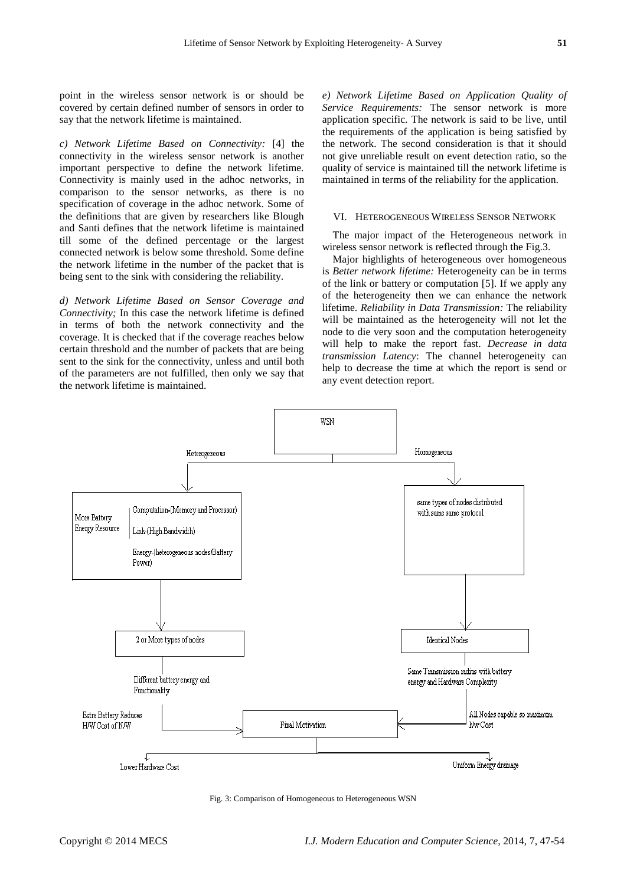point in the wireless sensor network is or should be covered by certain defined number of sensors in order to say that the network lifetime is maintained.

*c) Network Lifetime Based on Connectivity:* [4] the connectivity in the wireless sensor network is another important perspective to define the network lifetime. Connectivity is mainly used in the adhoc networks, in comparison to the sensor networks, as there is no specification of coverage in the adhoc network. Some of the definitions that are given by researchers like Blough and Santi defines that the network lifetime is maintained till some of the defined percentage or the largest connected network is below some threshold. Some define the network lifetime in the number of the packet that is being sent to the sink with considering the reliability.

*d) Network Lifetime Based on Sensor Coverage and Connectivity;* In this case the network lifetime is defined in terms of both the network connectivity and the coverage. It is checked that if the coverage reaches below certain threshold and the number of packets that are being sent to the sink for the connectivity, unless and until both of the parameters are not fulfilled, then only we say that the network lifetime is maintained.

*e) Network Lifetime Based on Application Quality of Service Requirements:* The sensor network is more application specific. The network is said to be live, until the requirements of the application is being satisfied by the network. The second consideration is that it should not give unreliable result on event detection ratio, so the quality of service is maintained till the network lifetime is maintained in terms of the reliability for the application.

# VI. HETEROGENEOUS WIRELESS SENSOR NETWORK

The major impact of the Heterogeneous network in wireless sensor network is reflected through the Fig.3.

Major highlights of heterogeneous over homogeneous is *Better network lifetime:* Heterogeneity can be in terms of the link or battery or computation [5]. If we apply any of the heterogeneity then we can enhance the network lifetime. *Reliability in Data Transmission:* The reliability will be maintained as the heterogeneity will not let the node to die very soon and the computation heterogeneity will help to make the report fast. *Decrease in data transmission Latency*: The channel heterogeneity can help to decrease the time at which the report is send or any event detection report.



Fig. 3: Comparison of Homogeneous to Heterogeneous WSN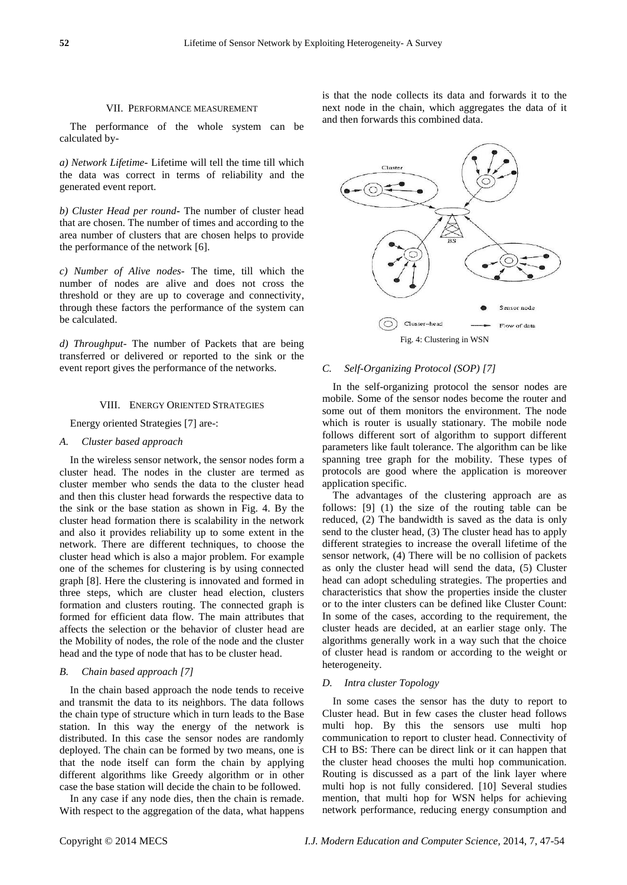#### VII. PERFORMANCE MEASUREMENT

The performance of the whole system can be calculated by-

*a) Network Lifetime***-** Lifetime will tell the time till which the data was correct in terms of reliability and the generated event report.

*b) Cluster Head per round***-** The number of cluster head that are chosen. The number of times and according to the area number of clusters that are chosen helps to provide the performance of the network [6].

*c) Number of Alive nodes-* The time, till which the number of nodes are alive and does not cross the threshold or they are up to coverage and connectivity, through these factors the performance of the system can be calculated.

*d) Throughput-* The number of Packets that are being transferred or delivered or reported to the sink or the event report gives the performance of the networks.

#### VIII. ENERGY ORIENTED STRATEGIES

Energy oriented Strategies [7] are-:

#### *A. Cluster based approach*

In the wireless sensor network, the sensor nodes form a cluster head. The nodes in the cluster are termed as cluster member who sends the data to the cluster head and then this cluster head forwards the respective data to the sink or the base station as shown in Fig. 4. By the cluster head formation there is scalability in the network and also it provides reliability up to some extent in the network. There are different techniques, to choose the cluster head which is also a major problem. For example one of the schemes for clustering is by using connected graph [8]. Here the clustering is innovated and formed in three steps, which are cluster head election, clusters formation and clusters routing. The connected graph is formed for efficient data flow. The main attributes that affects the selection or the behavior of cluster head are the Mobility of nodes, the role of the node and the cluster head and the type of node that has to be cluster head.

#### *B. Chain based approach [7]*

In the chain based approach the node tends to receive and transmit the data to its neighbors. The data follows the chain type of structure which in turn leads to the Base station. In this way the energy of the network is distributed. In this case the sensor nodes are randomly deployed. The chain can be formed by two means, one is that the node itself can form the chain by applying different algorithms like Greedy algorithm or in other case the base station will decide the chain to be followed.

In any case if any node dies, then the chain is remade. With respect to the aggregation of the data, what happens is that the node collects its data and forwards it to the next node in the chain, which aggregates the data of it and then forwards this combined data.



# *C. Self-Organizing Protocol (SOP) [7]*

In the self-organizing protocol the sensor nodes are mobile. Some of the sensor nodes become the router and some out of them monitors the environment. The node which is router is usually stationary. The mobile node follows different sort of algorithm to support different parameters like fault tolerance. The algorithm can be like spanning tree graph for the mobility. These types of protocols are good where the application is moreover application specific.

The advantages of the clustering approach are as follows: [9] (1) the size of the routing table can be reduced, (2) The bandwidth is saved as the data is only send to the cluster head, (3) The cluster head has to apply different strategies to increase the overall lifetime of the sensor network, (4) There will be no collision of packets as only the cluster head will send the data, (5) Cluster head can adopt scheduling strategies. The properties and characteristics that show the properties inside the cluster or to the inter clusters can be defined like Cluster Count: In some of the cases, according to the requirement, the cluster heads are decided, at an earlier stage only. The algorithms generally work in a way such that the choice of cluster head is random or according to the weight or heterogeneity.

#### *D. Intra cluster Topology*

In some cases the sensor has the duty to report to Cluster head. But in few cases the cluster head follows multi hop. By this the sensors use multi hop communication to report to cluster head. Connectivity of CH to BS: There can be direct link or it can happen that the cluster head chooses the multi hop communication. Routing is discussed as a part of the link layer where multi hop is not fully considered. [10] Several studies mention, that multi hop for WSN helps for achieving network performance, reducing energy consumption and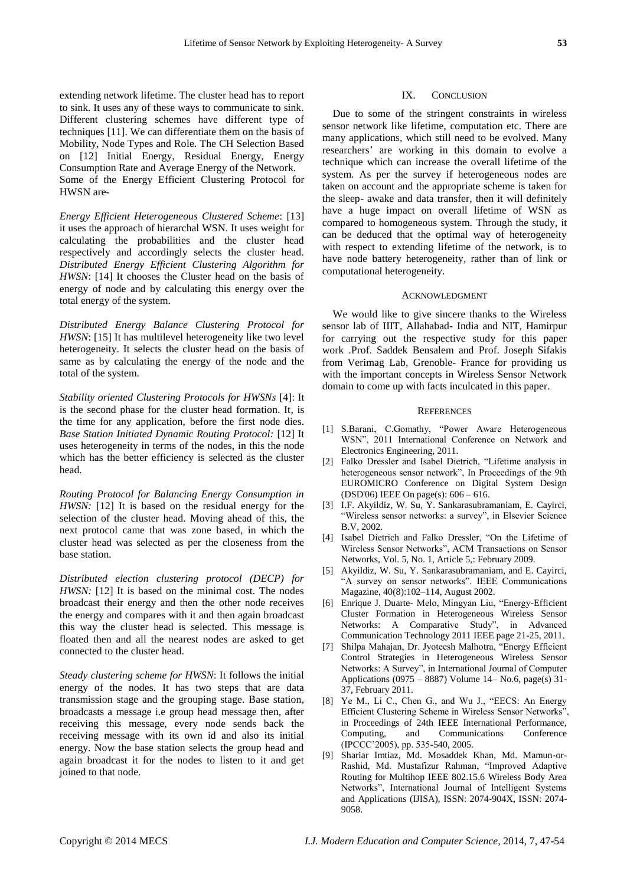extending network lifetime. The cluster head has to report to sink. It uses any of these ways to communicate to sink. Different clustering schemes have different type of techniques [11]. We can differentiate them on the basis of Mobility, Node Types and Role. The CH Selection Based on [12] Initial Energy, Residual Energy, Energy Consumption Rate and Average Energy of the Network. Some of the Energy Efficient Clustering Protocol for HWSN are-

*Energy Efficient Heterogeneous Clustered Scheme*: [13] it uses the approach of hierarchal WSN. It uses weight for calculating the probabilities and the cluster head respectively and accordingly selects the cluster head. *Distributed Energy Efficient Clustering Algorithm for HWSN*: [14] It chooses the Cluster head on the basis of energy of node and by calculating this energy over the total energy of the system.

*Distributed Energy Balance Clustering Protocol for HWSN*: [15] It has multilevel heterogeneity like two level heterogeneity. It selects the cluster head on the basis of same as by calculating the energy of the node and the total of the system.

*Stability oriented Clustering Protocols for HWSNs* [4]: It is the second phase for the cluster head formation. It, is the time for any application, before the first node dies. *Base Station Initiated Dynamic Routing Protocol:* [12] It uses heterogeneity in terms of the nodes, in this the node which has the better efficiency is selected as the cluster head.

*Routing Protocol for Balancing Energy Consumption in HWSN:* [12] It is based on the residual energy for the selection of the cluster head. Moving ahead of this, the next protocol came that was zone based, in which the cluster head was selected as per the closeness from the base station.

*Distributed election clustering protocol (DECP) for HWSN:* [12] It is based on the minimal cost. The nodes broadcast their energy and then the other node receives the energy and compares with it and then again broadcast this way the cluster head is selected. This message is floated then and all the nearest nodes are asked to get connected to the cluster head.

*Steady clustering scheme for HWSN*: It follows the initial energy of the nodes. It has two steps that are data transmission stage and the grouping stage. Base station, broadcasts a message i.e group head message then, after receiving this message, every node sends back the receiving message with its own id and also its initial energy. Now the base station selects the group head and again broadcast it for the nodes to listen to it and get joined to that node.

#### IX. CONCLUSION

Due to some of the stringent constraints in wireless sensor network like lifetime, computation etc. There are many applications, which still need to be evolved. Many researchers' are working in this domain to evolve a technique which can increase the overall lifetime of the system. As per the survey if heterogeneous nodes are taken on account and the appropriate scheme is taken for the sleep- awake and data transfer, then it will definitely have a huge impact on overall lifetime of WSN as compared to homogeneous system. Through the study, it can be deduced that the optimal way of heterogeneity with respect to extending lifetime of the network, is to have node battery heterogeneity, rather than of link or computational heterogeneity.

#### ACKNOWLEDGMENT

We would like to give sincere thanks to the Wireless sensor lab of IIIT, Allahabad- India and NIT, Hamirpur for carrying out the respective study for this paper work .Prof. Saddek Bensalem and Prof. Joseph Sifakis from Verimag Lab, Grenoble- France for providing us with the important concepts in Wireless Sensor Network domain to come up with facts inculcated in this paper.

#### **REFERENCES**

- [1] S.Barani, C.Gomathy, "Power Aware Heterogeneous WSN", 2011 International Conference on Network and Electronics Engineering, 2011.
- [2] Falko Dressler and Isabel Dietrich, "Lifetime analysis in heterogeneous sensor network", In Proceedings of the 9th EUROMICRO Conference on Digital System Design (DSD'06) IEEE On page(s): 606 – 616.
- [3] I.F. Akyildiz, W. Su, Y. Sankarasubramaniam, E. Cayirci, "Wireless sensor networks: a survey", in Elsevier Science B.V, 2002.
- [4] Isabel Dietrich and Falko Dressler, "On the Lifetime of Wireless Sensor Networks", ACM Transactions on Sensor Networks, Vol. 5, No. 1, Article 5,: February 2009.
- [5] Akyildiz, W. Su, Y. Sankarasubramaniam, and E. Cayirci, "A survey on sensor networks". IEEE Communications Magazine, 40(8):102–114, August 2002.
- [6] Enrique J. Duarte- Melo, Mingyan Liu, "Energy-Efficient Cluster Formation in Heterogeneous Wireless Sensor Networks: A Comparative Study", in Advanced Communication Technology 2011 IEEE page 21-25, 2011.
- [7] Shilpa Mahajan, Dr. Jyoteesh Malhotra, "Energy Efficient Control Strategies in Heterogeneous Wireless Sensor Networks: A Survey", in International Journal of Computer Applications (0975 – 8887) Volume 14– No.6, page(s) 31- 37, February 2011.
- [8] Ye M., Li C., Chen G., and Wu J., "EECS: An Energy Efficient Clustering Scheme in Wireless Sensor Networks", in Proceedings of 24th IEEE International Performance, Computing, and Communications Conference (IPCCC'2005), pp. 535-540, 2005.
- [9] Shariar Imtiaz, Md. Mosaddek Khan, Md. Mamun-or-Rashid, Md. Mustafizur Rahman, "Improved Adaptive Routing for Multihop IEEE 802.15.6 Wireless Body Area Networks", International Journal of Intelligent Systems and Applications (IJISA), ISSN: 2074-904X, ISSN: 2074- 9058.